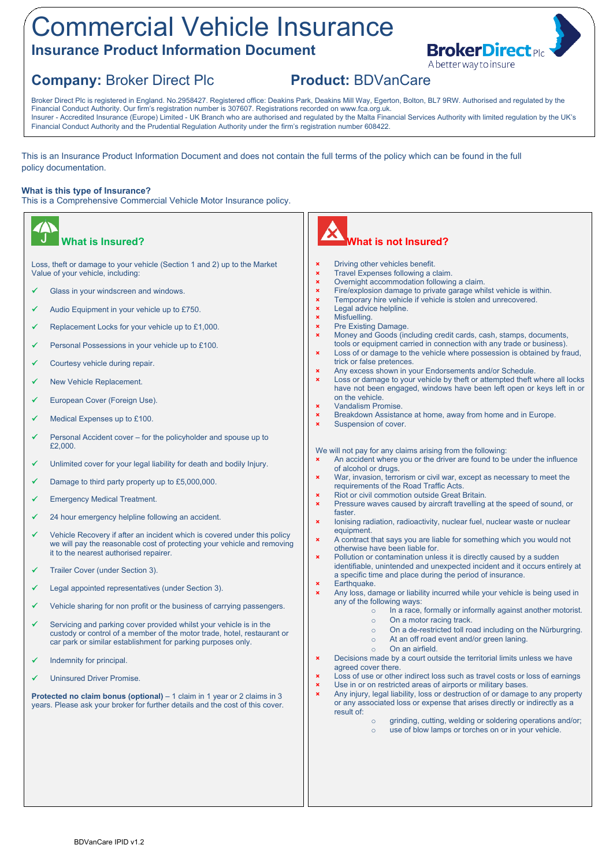# Commercial Vehicle Insurance **Insurance Product Information Document**



## **Company:** Broker Direct Plc **Product:** BDVanCare

Broker Direct Plc is registered in England. No.2958427. Registered office: Deakins Park, Deakins Mill Way, Egerton, Bolton, BL7 9RW. Authorised and regulated by the Financial Conduct Authority. Our firm's registration number is 307607. Registrations recorded on www.fca.org.uk. Insurer - Accredited Insurance (Europe) Limited - UK Branch who are authorised and regulated by the Malta Financial Services Authority with limited regulation by the UK's Financial Conduct Authority and the Prudential Regulation Authority under the firm's registration number 608422.

This is an Insurance Product Information Document and does not contain the full terms of the policy which can be found in the full policy documentation.

#### **What is this type of Insurance?**

This is a Comprehensive Commercial Vehicle Motor Insurance policy.





#### **Driving other vehicles benefit.**

- **×** Travel Expenses following a claim.
- **×** Overnight accommodation following a claim.
- **×** Fire/explosion damage to private garage whilst vehicle is within.
- **×** Temporary hire vehicle if vehicle is stolen and unrecovered.
- **×** Legal advice helpline.
- **×** Misfuelling.
- Pre Existing Damage.
- **×** Money and Goods (including credit cards, cash, stamps, documents, tools or equipment carried in connection with any trade or business).
- Loss of or damage to the vehicle where possession is obtained by fraud, trick or false pretences.
- **×** Any excess shown in your Endorsements and/or Schedule.
- **×** Loss or damage to your vehicle by theft or attempted theft where all locks have not been engaged, windows have been left open or keys left in or on the vehicle.
- **×** Vandalism Promise.
- **×** Breakdown Assistance at home, away from home and in Europe.
- Suspension of cover.

We will not pay for any claims arising from the following:

- An accident where you or the driver are found to be under the influence of alcohol or drugs.
- **×** War, invasion, terrorism or civil war, except as necessary to meet the requirements of the Road Traffic Acts.
- **Riot or civil commotion outside Great Britain.**
- **×** Pressure waves caused by aircraft travelling at the speed of sound, or faster.
- **×** Ionising radiation, radioactivity, nuclear fuel, nuclear waste or nuclear equipment.
- **×** A contract that says you are liable for something which you would not otherwise have been liable for.
- Pollution or contamination unless it is directly caused by a sudden identifiable, unintended and unexpected incident and it occurs entirely at a specific time and place during the period of insurance.
- **×** Earthquake.
	- **×** Any loss, damage or liability incurred while your vehicle is being used in any of the following ways:
		- o In a race, formally or informally against another motorist.
		- o On a motor racing track.
		- o On a de-restricted toll road including on the Nürburgring.
		- o At an off road event and/or green laning.
	- o On an airfield.
- Decisions made by a court outside the territorial limits unless we have agreed cover there.
- Loss of use or other indirect loss such as travel costs or loss of earnings Use in or on restricted areas of airports or military bases.
- **×** Any injury, legal liability, loss or destruction of or damage to any property or any associated loss or expense that arises directly or indirectly as a result of:
	- o grinding, cutting, welding or soldering operations and/or;
	- o use of blow lamps or torches on or in your vehicle.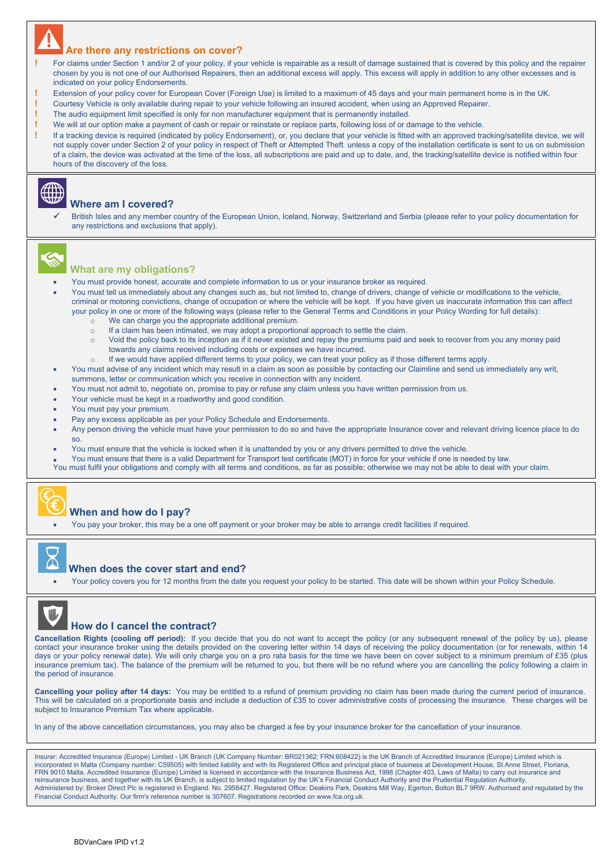#### **Are there any restrictions on cover?**

- **!** For claims under Section 1 and/or 2 of your policy, if your vehicle is repairable as a result of damage sustained that is covered by this policy and the repairer chosen by you is not one of our Authorised Repairers, then an additional excess will apply. This excess will apply in addition to any other excesses and is indicated on your policy Endorsements.
- **!** Extension of your policy cover for European Cover (Foreign Use) is limited to a maximum of 45 days and your main permanent home is in the UK.
- **!** Courtesy Vehicle is only available during repair to your vehicle following an insured accident, when using an Approved Repairer.
- **!** The audio equipment limit specified is only for non manufacturer equipment that is permanently installed.
- **!** We will at our option make a payment of cash or repair or reinstate or replace parts, following loss of or damage to the vehicle.

**!** If a tracking device is required (indicated by policy Endorsement), or, you declare that your vehicle is fitted with an approved tracking/satellite device, we will not supply cover under Section 2 of your policy in respect of Theft or Attempted Theft unless a copy of the installation certificate is sent to us on submission of a claim, the device was activated at the time of the loss, all subscriptions are paid and up to date, and, the tracking/satellite device is notified within four hours of the discovery of the loss.



#### **Where am I covered?**

 British Isles and any member country of the European Union, Iceland, Norway, Switzerland and Serbia (please refer to your policy documentation for any restrictions and exclusions that apply).



#### **What are my obligations?**

- You must provide honest, accurate and complete information to us or your insurance broker as required.
- You must tell us immediately about any changes such as, but not limited to, change of drivers, change of vehicle or modifications to the vehicle, criminal or motoring convictions, change of occupation or where the vehicle will be kept. If you have given us inaccurate information this can affect your policy in one or more of the following ways (please refer to the General Terms and Conditions in your Policy Wording for full details):
	- o We can charge you the appropriate additional premium.
	- o If a claim has been intimated, we may adopt a proportional approach to settle the claim.
	- o Void the policy back to its inception as if it never existed and repay the premiums paid and seek to recover from you any money paid towards any claims received including costs or expenses we have incurred.
	- o If we would have applied different terms to your policy, we can treat your policy as if those different terms apply.
- You must advise of any incident which may result in a claim as soon as possible by contacting our Claimline and send us immediately any writ, summons, letter or communication which you receive in connection with any incident.
- You must not admit to, negotiate on, promise to pay or refuse any claim unless you have written permission from us.
- Your vehicle must be kept in a roadworthy and good condition.
- You must pay your premium.
- Pay any excess applicable as per your Policy Schedule and Endorsements.
- Any person driving the vehicle must have your permission to do so and have the appropriate Insurance cover and relevant driving licence place to do so.
- You must ensure that the vehicle is locked when it is unattended by you or any drivers permitted to drive the vehicle.
- You must ensure that there is a valid Department for Transport test certificate (MOT) in force for your vehicle if one is needed by law.
- You must fulfil your obligations and comply with all terms and conditions, as far as possible; otherwise we may not be able to deal with your claim.



### **When and how do I pay?**

You pay your broker, this may be a one off payment or your broker may be able to arrange credit facilities if required.



#### **When does the cover start and end?**

Your policy covers you for 12 months from the date you request your policy to be started. This date will be shown within your Policy Schedule.



#### **How do I cancel the contract?**

**Cancellation Rights (cooling off period):** If you decide that you do not want to accept the policy (or any subsequent renewal of the policy by us), please contact your insurance broker using the details provided on the covering letter within 14 days of receiving the policy documentation (or for renewals, within 14 days or your policy renewal date). We will only charge you on a pro rata basis for the time we have been on cover subject to a minimum premium of £35 (plus insurance premium tax). The balance of the premium will be returned to you, but there will be no refund where you are cancelling the policy following a claim in the period of insurance.

**Cancelling your policy after 14 days:** You may be entitled to a refund of premium providing no claim has been made during the current period of insurance. This will be calculated on a proportionate basis and include a deduction of £35 to cover administrative costs of processing the insurance. These charges will be subject to Insurance Premium Tax where applicable.

In any of the above cancellation circumstances, you may also be charged a fee by your insurance broker for the cancellation of your insurance.

Insurer: Accredited Insurance (Europe) Limited - UK Branch (UK Company Number: BR021362; FRN:608422) is the UK Branch of Accredited Insurance (Europe) Limited which is incorporated in Malta (Company number: C59505) with limited liability and with its Registered Office and principal place of business at Development House, St Anne Street, Floriana, FRN 9010 Malta. Accredited Insurance (Europe) Limited is licensed in accordance with the Insurance Business Act, 1998 (Chapter 403, Laws of Malta) to carry out insurance and reinsurance business, and together with its UK Branch, is subject to limited regulation by the UK's Financial Conduct Authority and the Prudential Regulation Authority.<br>Administered by: Broker Direct Plc is registered in E Financial Conduct Authority. Our firm's reference number is 307607. Registrations recorded on [www.fca.org.uk](http://www.fca.org.uk/).